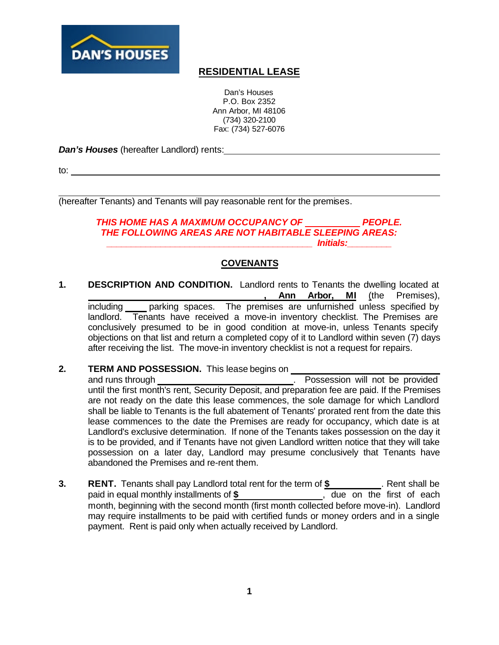

# **RESIDENTIAL LEASE**

Dan's Houses P.O. Box 2352 Ann Arbor, MI 48106 (734) 320-2100 Fax: (734) 527-6076

*Dan's Houses* (hereafter Landlord) rents:

to:

(hereafter Tenants) and Tenants will pay reasonable rent for the premises.

## *THIS HOME HAS A MAXIMUM OCCUPANCY OF PEOPLE. THE FOLLOWING AREAS ARE NOT HABITABLE SLEEPING AREAS: \_\_\_\_\_\_\_\_\_\_\_\_\_\_\_\_\_\_\_\_\_\_\_\_\_\_\_\_\_\_\_\_\_\_\_\_\_\_\_\_\_\_ Initials:\_\_\_\_\_\_\_\_\_*

# **COVENANTS**

- **1. DESCRIPTION AND CONDITION.** Landlord rents to Tenants the dwelling located at **, Ann Arbor, MI** (the Premises), including parking spaces. The premises are unfurnished unless specified by landlord. Tenants have received a move-in inventory checklist. The Premises are conclusively presumed to be in good condition at move-in, unless Tenants specify objections on that list and return a completed copy of it to Landlord within seven (7) days after receiving the list. The move-in inventory checklist is not a request for repairs.
- **2. TERM AND POSSESSION.** This lease begins on

and runs through **Example 20** and runs through the provided in the provided of the provided until the first month's rent, Security Deposit, and preparation fee are paid. If the Premises are not ready on the date this lease commences, the sole damage for which Landlord shall be liable to Tenants is the full abatement of Tenants' prorated rent from the date this lease commences to the date the Premises are ready for occupancy, which date is at Landlord's exclusive determination. If none of the Tenants takes possession on the day it is to be provided, and if Tenants have not given Landlord written notice that they will take possession on a later day, Landlord may presume conclusively that Tenants have abandoned the Premises and re-rent them.

**3. RENT.** Tenants shall pay Landlord total rent for the term of  $\frac{\$}{\$}$  . Rent shall be paid in equal monthly installments of  $\frac{\$}{\$}$  , due on the first of each month, beginning with the second month (first month collected before move-in). Landlord may require installments to be paid with certified funds or money orders and in a single payment. Rent is paid only when actually received by Landlord.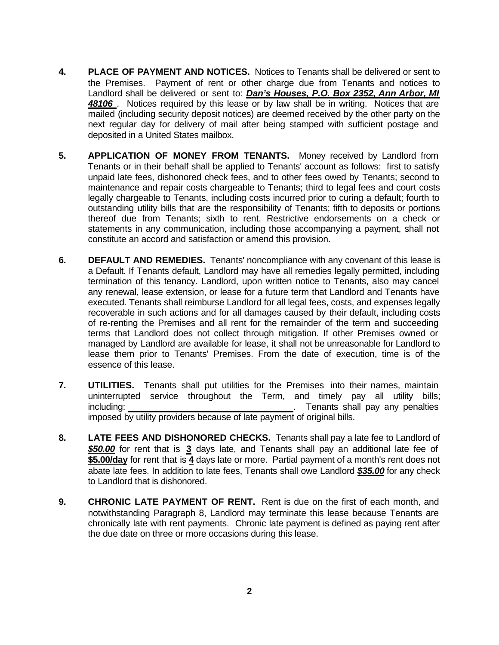- **4. PLACE OF PAYMENT AND NOTICES.** Notices to Tenants shall be delivered or sent to the Premises. Payment of rent or other charge due from Tenants and notices to Landlord shall be delivered or sent to: *Dan's Houses, P.O. Box 2352, Ann Arbor, MI 48106* . Notices required by this lease or by law shall be in writing. Notices that are mailed (including security deposit notices) are deemed received by the other party on the next regular day for delivery of mail after being stamped with sufficient postage and deposited in a United States mailbox.
- **5. APPLICATION OF MONEY FROM TENANTS.** Money received by Landlord from Tenants or in their behalf shall be applied to Tenants' account as follows: first to satisfy unpaid late fees, dishonored check fees, and to other fees owed by Tenants; second to maintenance and repair costs chargeable to Tenants; third to legal fees and court costs legally chargeable to Tenants, including costs incurred prior to curing a default; fourth to outstanding utility bills that are the responsibility of Tenants; fifth to deposits or portions thereof due from Tenants; sixth to rent. Restrictive endorsements on a check or statements in any communication, including those accompanying a payment, shall not constitute an accord and satisfaction or amend this provision.
- **6. DEFAULT AND REMEDIES.** Tenants' noncompliance with any covenant of this lease is a Default. If Tenants default, Landlord may have all remedies legally permitted, including termination of this tenancy. Landlord, upon written notice to Tenants, also may cancel any renewal, lease extension, or lease for a future term that Landlord and Tenants have executed. Tenants shall reimburse Landlord for all legal fees, costs, and expenses legally recoverable in such actions and for all damages caused by their default, including costs of re-renting the Premises and all rent for the remainder of the term and succeeding terms that Landlord does not collect through mitigation. If other Premises owned or managed by Landlord are available for lease, it shall not be unreasonable for Landlord to lease them prior to Tenants' Premises. From the date of execution, time is of the essence of this lease.
- **7. UTILITIES.** Tenants shall put utilities for the Premises into their names, maintain uninterrupted service throughout the Term, and timely pay all utility bills; including: **. Tenants shall pay any penalties** . Tenants shall pay any penalties imposed by utility providers because of late payment of original bills.
- **8. LATE FEES AND DISHONORED CHECKS.** Tenants shall pay a late fee to Landlord of *\$50.00* for rent that is **3** days late, and Tenants shall pay an additional late fee of **\$5.00/day** for rent that is **4** days late or more. Partial payment of a month's rent does not abate late fees. In addition to late fees, Tenants shall owe Landlord *\$35.00* for any check to Landlord that is dishonored.
- **9. CHRONIC LATE PAYMENT OF RENT.** Rent is due on the first of each month, and notwithstanding Paragraph 8, Landlord may terminate this lease because Tenants are chronically late with rent payments. Chronic late payment is defined as paying rent after the due date on three or more occasions during this lease.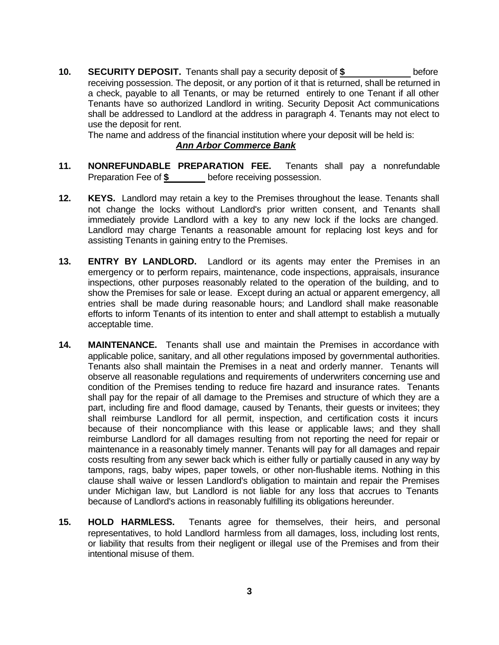**10. SECURITY DEPOSIT.** Tenants shall pay a security deposit of **\$** before receiving possession. The deposit, or any portion of it that is returned, shall be returned in a check, payable to all Tenants, or may be returned entirely to one Tenant if all other Tenants have so authorized Landlord in writing. Security Deposit Act communications shall be addressed to Landlord at the address in paragraph 4. Tenants may not elect to use the deposit for rent.

The name and address of the financial institution where your deposit will be held is:

## *Ann Arbor Commerce Bank*

- **11. NONREFUNDABLE PREPARATION FEE.** Tenants shall pay a nonrefundable Preparation Fee of **\$** before receiving possession.
- **12. KEYS.** Landlord may retain a key to the Premises throughout the lease. Tenants shall not change the locks without Landlord's prior written consent, and Tenants shall immediately provide Landlord with a key to any new lock if the locks are changed. Landlord may charge Tenants a reasonable amount for replacing lost keys and for assisting Tenants in gaining entry to the Premises.
- **13. ENTRY BY LANDLORD.** Landlord or its agents may enter the Premises in an emergency or to perform repairs, maintenance, code inspections, appraisals, insurance inspections, other purposes reasonably related to the operation of the building, and to show the Premises for sale or lease. Except during an actual or apparent emergency, all entries shall be made during reasonable hours; and Landlord shall make reasonable efforts to inform Tenants of its intention to enter and shall attempt to establish a mutually acceptable time.
- **14. MAINTENANCE.** Tenants shall use and maintain the Premises in accordance with applicable police, sanitary, and all other regulations imposed by governmental authorities. Tenants also shall maintain the Premises in a neat and orderly manner. Tenants will observe all reasonable regulations and requirements of underwriters concerning use and condition of the Premises tending to reduce fire hazard and insurance rates. Tenants shall pay for the repair of all damage to the Premises and structure of which they are a part, including fire and flood damage, caused by Tenants, their guests or invitees; they shall reimburse Landlord for all permit, inspection, and certification costs it incurs because of their noncompliance with this lease or applicable laws; and they shall reimburse Landlord for all damages resulting from not reporting the need for repair or maintenance in a reasonably timely manner. Tenants will pay for all damages and repair costs resulting from any sewer back which is either fully or partially caused in any way by tampons, rags, baby wipes, paper towels, or other non-flushable items. Nothing in this clause shall waive or lessen Landlord's obligation to maintain and repair the Premises under Michigan law, but Landlord is not liable for any loss that accrues to Tenants because of Landlord's actions in reasonably fulfilling its obligations hereunder.
- **15. HOLD HARMLESS.** Tenants agree for themselves, their heirs, and personal representatives, to hold Landlord harmless from all damages, loss, including lost rents, or liability that results from their negligent or illegal use of the Premises and from their intentional misuse of them.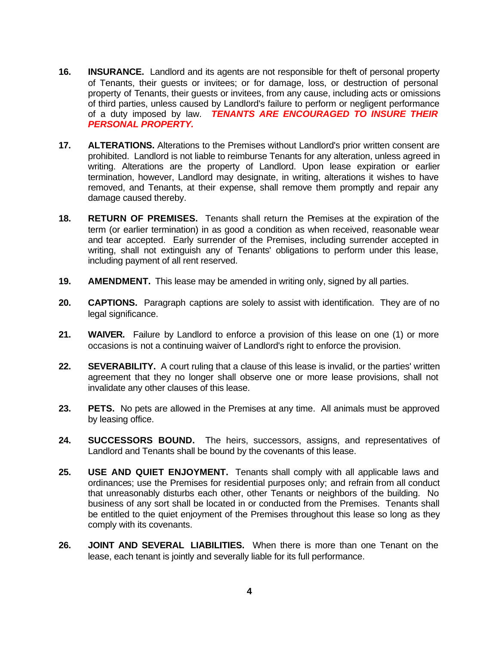- **16. INSURANCE.** Landlord and its agents are not responsible for theft of personal property of Tenants, their guests or invitees; or for damage, loss, or destruction of personal property of Tenants, their guests or invitees, from any cause, including acts or omissions of third parties, unless caused by Landlord's failure to perform or negligent performance of a duty imposed by law. *TENANTS ARE ENCOURAGED TO INSURE THEIR PERSONAL PROPERTY.*
- **17. ALTERATIONS.** Alterations to the Premises without Landlord's prior written consent are prohibited. Landlord is not liable to reimburse Tenants for any alteration, unless agreed in writing. Alterations are the property of Landlord. Upon lease expiration or earlier termination, however, Landlord may designate, in writing, alterations it wishes to have removed, and Tenants, at their expense, shall remove them promptly and repair any damage caused thereby.
- **18. RETURN OF PREMISES.** Tenants shall return the Premises at the expiration of the term (or earlier termination) in as good a condition as when received, reasonable wear and tear accepted. Early surrender of the Premises, including surrender accepted in writing, shall not extinguish any of Tenants' obligations to perform under this lease, including payment of all rent reserved.
- **19. AMENDMENT.** This lease may be amended in writing only, signed by all parties.
- **20. CAPTIONS.** Paragraph captions are solely to assist with identification. They are of no legal significance.
- **21. WAIVER.** Failure by Landlord to enforce a provision of this lease on one (1) or more occasions is not a continuing waiver of Landlord's right to enforce the provision.
- **22. SEVERABILITY.** A court ruling that a clause of this lease is invalid, or the parties' written agreement that they no longer shall observe one or more lease provisions, shall not invalidate any other clauses of this lease.
- **23. PETS.** No pets are allowed in the Premises at any time. All animals must be approved by leasing office.
- **24. SUCCESSORS BOUND.** The heirs, successors, assigns, and representatives of Landlord and Tenants shall be bound by the covenants of this lease.
- **25. USE AND QUIET ENJOYMENT.** Tenants shall comply with all applicable laws and ordinances; use the Premises for residential purposes only; and refrain from all conduct that unreasonably disturbs each other, other Tenants or neighbors of the building. No business of any sort shall be located in or conducted from the Premises. Tenants shall be entitled to the quiet enjoyment of the Premises throughout this lease so long as they comply with its covenants.
- **26. JOINT AND SEVERAL LIABILITIES.** When there is more than one Tenant on the lease, each tenant is jointly and severally liable for its full performance.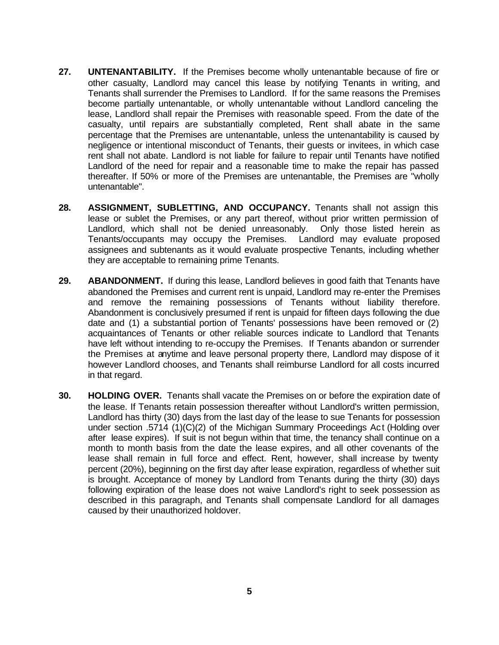- **27. UNTENANTABILITY.** If the Premises become wholly untenantable because of fire or other casualty, Landlord may cancel this lease by notifying Tenants in writing, and Tenants shall surrender the Premises to Landlord. If for the same reasons the Premises become partially untenantable, or wholly untenantable without Landlord canceling the lease, Landlord shall repair the Premises with reasonable speed. From the date of the casualty, until repairs are substantially completed, Rent shall abate in the same percentage that the Premises are untenantable, unless the untenantability is caused by negligence or intentional misconduct of Tenants, their guests or invitees, in which case rent shall not abate. Landlord is not liable for failure to repair until Tenants have notified Landlord of the need for repair and a reasonable time to make the repair has passed thereafter. If 50% or more of the Premises are untenantable, the Premises are "wholly untenantable".
- **28. ASSIGNMENT, SUBLETTING, AND OCCUPANCY.** Tenants shall not assign this lease or sublet the Premises, or any part thereof, without prior written permission of Landlord, which shall not be denied unreasonably. Only those listed herein as Tenants/occupants may occupy the Premises. Landlord may evaluate proposed assignees and subtenants as it would evaluate prospective Tenants, including whether they are acceptable to remaining prime Tenants.
- **29. ABANDONMENT.** If during this lease, Landlord believes in good faith that Tenants have abandoned the Premises and current rent is unpaid, Landlord may re-enter the Premises and remove the remaining possessions of Tenants without liability therefore. Abandonment is conclusively presumed if rent is unpaid for fifteen days following the due date and (1) a substantial portion of Tenants' possessions have been removed or (2) acquaintances of Tenants or other reliable sources indicate to Landlord that Tenants have left without intending to re-occupy the Premises. If Tenants abandon or surrender the Premises at anytime and leave personal property there, Landlord may dispose of it however Landlord chooses, and Tenants shall reimburse Landlord for all costs incurred in that regard.
- **30. HOLDING OVER.** Tenants shall vacate the Premises on or before the expiration date of the lease. If Tenants retain possession thereafter without Landlord's written permission, Landlord has thirty (30) days from the last day of the lease to sue Tenants for possession under section .5714 (1)(C)(2) of the Michigan Summary Proceedings Act (Holding over after lease expires). If suit is not begun within that time, the tenancy shall continue on a month to month basis from the date the lease expires, and all other covenants of the lease shall remain in full force and effect. Rent, however, shall increase by twenty percent (20%), beginning on the first day after lease expiration, regardless of whether suit is brought. Acceptance of money by Landlord from Tenants during the thirty (30) days following expiration of the lease does not waive Landlord's right to seek possession as described in this paragraph, and Tenants shall compensate Landlord for all damages caused by their unauthorized holdover.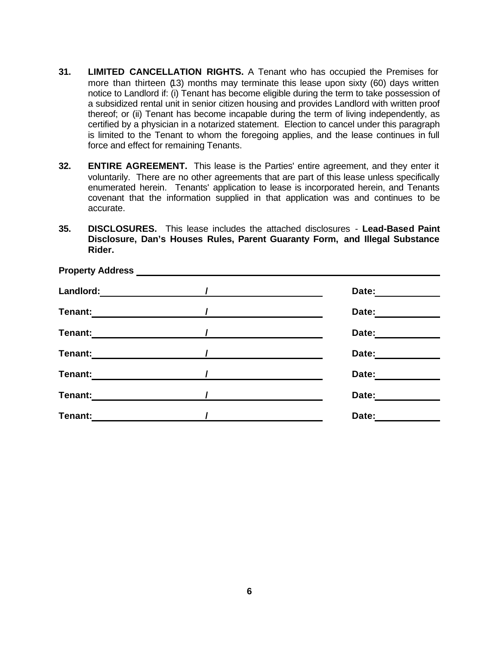- **31. LIMITED CANCELLATION RIGHTS.** A Tenant who has occupied the Premises for more than thirteen (13) months may terminate this lease upon sixty (60) days written notice to Landlord if: (i) Tenant has become eligible during the term to take possession of a subsidized rental unit in senior citizen housing and provides Landlord with written proof thereof; or (ii) Tenant has become incapable during the term of living independently, as certified by a physician in a notarized statement. Election to cancel under this paragraph is limited to the Tenant to whom the foregoing applies, and the lease continues in full force and effect for remaining Tenants.
- **32. ENTIRE AGREEMENT.** This lease is the Parties' entire agreement, and they enter it voluntarily. There are no other agreements that are part of this lease unless specifically enumerated herein. Tenants' application to lease is incorporated herein, and Tenants covenant that the information supplied in that application was and continues to be accurate.
- **35. DISCLOSURES.** This lease includes the attached disclosures **Lead-Based Paint Disclosure, Dan's Houses Rules, Parent Guaranty Form, and Illegal Substance Rider.**

| <b>Property Address</b> |       |
|-------------------------|-------|
| Landlord:               | Date: |
| Tenant:                 | Date: |
| Tenant:                 | Date: |
| Tenant:                 | Date: |
| Tenant:                 | Date: |
| Tenant:                 | Date: |
| Tenant:                 | Date: |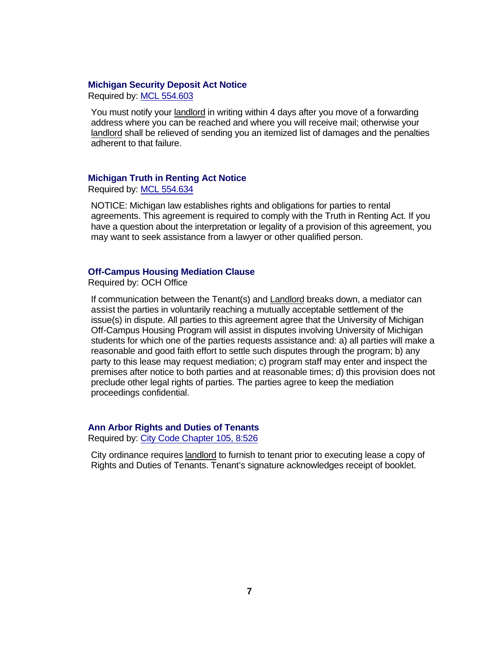### **Michigan Security Deposit Act Notice**

Required by: MCL 554.603

You must notify your landlord in writing within 4 days after you move of a forwarding address where you can be reached and where you will receive mail; otherwise your landlord shall be relieved of sending you an itemized list of damages and the penalties adherent to that failure.

## **Michigan Truth in Renting Act Notice**

Required by: MCL 554.634

NOTICE: Michigan law establishes rights and obligations for parties to rental agreements. This agreement is required to comply with the Truth in Renting Act. If you have a question about the interpretation or legality of a provision of this agreement, you may want to seek assistance from a lawyer or other qualified person.

#### **Off-Campus Housing Mediation Clause**

Required by: OCH Office

If communication between the Tenant(s) and Landlord breaks down, a mediator can assist the parties in voluntarily reaching a mutually acceptable settlement of the issue(s) in dispute. All parties to this agreement agree that the University of Michigan Off-Campus Housing Program will assist in disputes involving University of Michigan students for which one of the parties requests assistance and: a) all parties will make a reasonable and good faith effort to settle such disputes through the program; b) any party to this lease may request mediation; c) program staff may enter and inspect the premises after notice to both parties and at reasonable times; d) this provision does not preclude other legal rights of parties. The parties agree to keep the mediation proceedings confidential.

#### **Ann Arbor Rights and Duties of Tenants**

Required by: City Code Chapter 105, 8:526

City ordinance requires landlord to furnish to tenant prior to executing lease a copy of Rights and Duties of Tenants. Tenant's signature acknowledges receipt of booklet.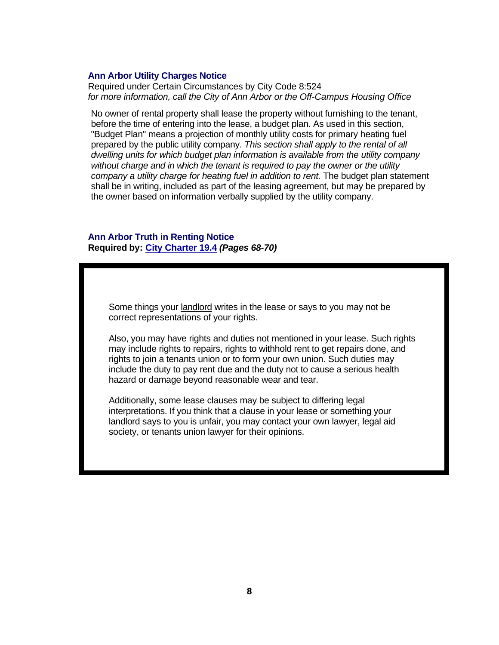## **Ann Arbor Utility Charges Notice**

Required under Certain Circumstances by City Code 8:524 *for more information, call the City of Ann Arbor or the Off-Campus Housing Office*

No owner of rental property shall lease the property without furnishing to the tenant, before the time of entering into the lease, a budget plan. As used in this section, "Budget Plan" means a projection of monthly utility costs for primary heating fuel prepared by the public utility company. *This section shall apply to the rental of all dwelling units for which budget plan information is available from the utility company without charge and in which the tenant is required to pay the owner or the utility company a utility charge for heating fuel in addition to rent.* The budget plan statement shall be in writing, included as part of the leasing agreement, but may be prepared by the owner based on information verbally supplied by the utility company.

## **Ann Arbor Truth in Renting Notice Required by: City Charter 19.4** *(Pages 68-70)*

Some things your landlord writes in the lease or says to you may not be correct representations of your rights.

Also, you may have rights and duties not mentioned in your lease. Such rights may include rights to repairs, rights to withhold rent to get repairs done, and rights to join a tenants union or to form your own union. Such duties may include the duty to pay rent due and the duty not to cause a serious health hazard or damage beyond reasonable wear and tear.

Additionally, some lease clauses may be subject to differing legal interpretations. If you think that a clause in your lease or something your landlord says to you is unfair, you may contact your own lawyer, legal aid society, or tenants union lawyer for their opinions.